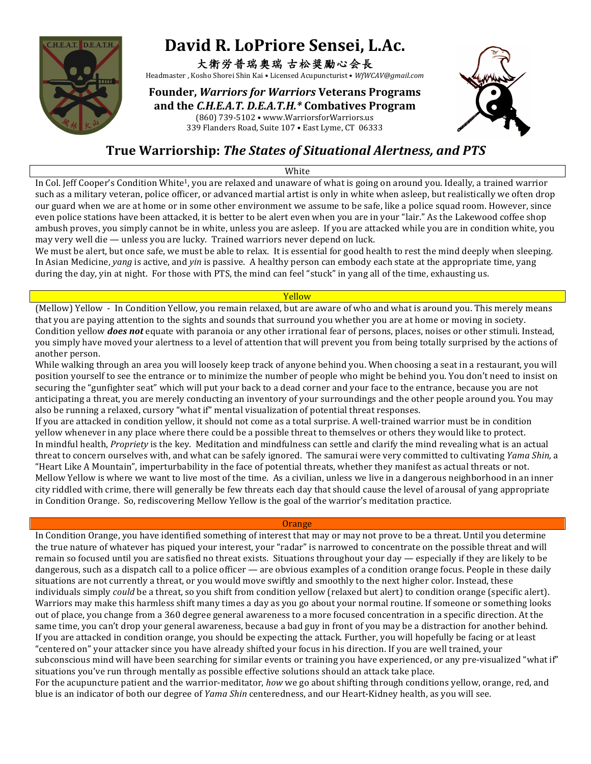

# David R. LoPriore Sensei, L.Ac.

### 大衛労普瑞奧瑞 古松奨勵心会長

Headmaster , Kosho Shorei Shin Kai • Licensed Acupuncturist • WfWCAV@gmail.com

### **Founder,** *Warriors for Warriors* **Veterans Programs** and the *C.H.E.A.T. D.E.A.T.H.*\* Combatives Program

(860) 739-5102 • www.WarriorsforWarriors.us 339 Flanders Road, Suite 107 • East Lyme, CT 06333



## **True Warriorship:** *The States of Situational Alertness, and PTS*

White

In Col. Jeff Cooper's Condition White<sup>1</sup>, you are relaxed and unaware of what is going on around you. Ideally, a trained warrior such as a military veteran, police officer, or advanced martial artist is only in white when asleep, but realistically we often drop our guard when we are at home or in some other environment we assume to be safe, like a police squad room. However, since even police stations have been attacked, it is better to be alert even when you are in your "lair." As the Lakewood coffee shop ambush proves, you simply cannot be in white, unless you are asleep. If you are attacked while you are in condition white, you may very well die — unless you are lucky. Trained warriors never depend on luck.

We must be alert, but once safe, we must be able to relax. It is essential for good health to rest the mind deeply when sleeping. In Asian Medicine, *yang* is active, and *yin* is passive. A healthy person can embody each state at the appropriate time, yang during the day, yin at night. For those with PTS, the mind can feel "stuck" in yang all of the time, exhausting us.

#### Yellow

(Mellow) Yellow - In Condition Yellow, you remain relaxed, but are aware of who and what is around you. This merely means that you are paying attention to the sights and sounds that surround you whether you are at home or moving in society. Condition yellow *does not* equate with paranoia or any other irrational fear of persons, places, noises or other stimuli. Instead, you simply have moved your alertness to a level of attention that will prevent you from being totally surprised by the actions of another person.

While walking through an area you will loosely keep track of anyone behind you. When choosing a seat in a restaurant, you will position yourself to see the entrance or to minimize the number of people who might be behind you. You don't need to insist on securing the "gunfighter seat" which will put your back to a dead corner and your face to the entrance, because you are not anticipating a threat, you are merely conducting an inventory of your surroundings and the other people around you. You may also be running a relaxed, cursory "what if" mental visualization of potential threat responses.

If you are attacked in condition yellow, it should not come as a total surprise. A well-trained warrior must be in condition yellow whenever in any place where there could be a possible threat to themselves or others they would like to protect. In mindful health, *Propriety* is the key. Meditation and mindfulness can settle and clarify the mind revealing what is an actual threat to concern ourselves with, and what can be safely ignored. The samurai were very committed to cultivating *Yama Shin*, a "Heart Like A Mountain", imperturbability in the face of potential threats, whether they manifest as actual threats or not. Mellow Yellow is where we want to live most of the time. As a civilian, unless we live in a dangerous neighborhood in an inner city riddled with crime, there will generally be few threats each day that should cause the level of arousal of yang appropriate in Condition Orange. So, rediscovering Mellow Yellow is the goal of the warrior's meditation practice.

#### **Orange**

In Condition Orange, you have identified something of interest that may or may not prove to be a threat. Until you determine the true nature of whatever has piqued your interest, your "radar" is narrowed to concentrate on the possible threat and will remain so focused until you are satisfied no threat exists. Situations throughout your  $day$  — especially if they are likely to be dangerous, such as a dispatch call to a police officer — are obvious examples of a condition orange focus. People in these daily situations are not currently a threat, or you would move swiftly and smoothly to the next higher color. Instead, these individuals simply *could* be a threat, so you shift from condition yellow (relaxed but alert) to condition orange (specific alert). Warriors may make this harmless shift many times a day as you go about your normal routine. If someone or something looks out of place, you change from a 360 degree general awareness to a more focused concentration in a specific direction. At the same time, you can't drop your general awareness, because a bad guy in front of you may be a distraction for another behind. If you are attacked in condition orange, you should be expecting the attack. Further, you will hopefully be facing or at least "centered on" your attacker since you have already shifted your focus in his direction. If you are well trained, your subconscious mind will have been searching for similar events or training you have experienced, or any pre-visualized "what if" situations you've run through mentally as possible effective solutions should an attack take place.

For the acupuncture patient and the warrior-meditator, *how* we go about shifting through conditions yellow, orange, red, and blue is an indicator of both our degree of *Yama Shin* centeredness, and our Heart-Kidney health, as you will see.